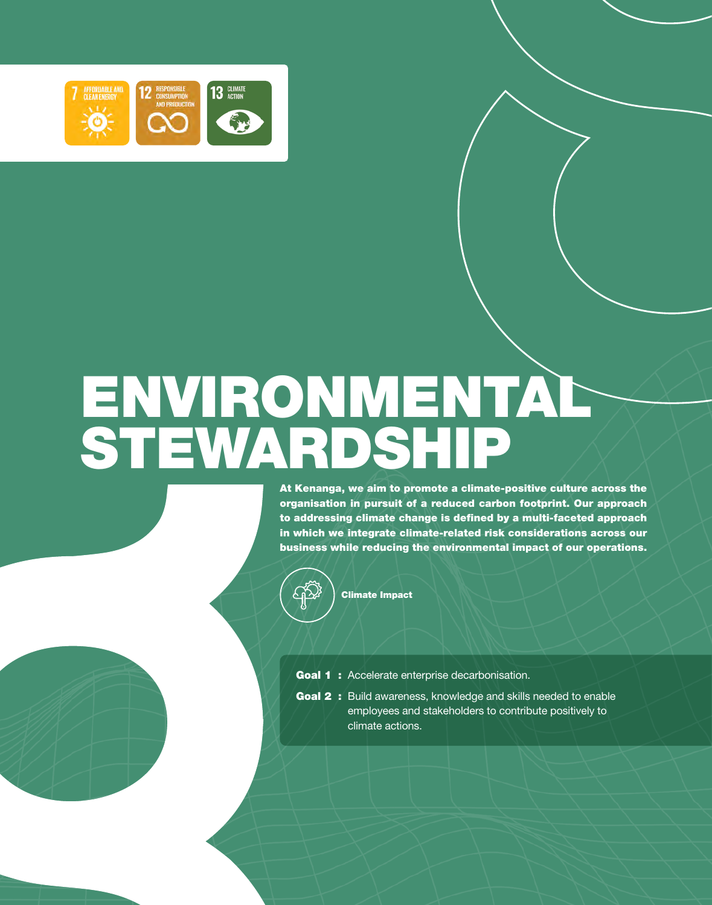

 $\mathcal{S}$ 

# ENVIRONMENTAL STEWARDSHIP

At Kenanga, we aim to promote a climate-positive culture across the organisation in pursuit of a reduced carbon footprint. Our approach to addressing climate change is defined by a multi-faceted approach in which we integrate climate-related risk considerations across our business while reducing the environmental impact of our operations.



Climate Impact

- Goal 1 : Accelerate enterprise decarbonisation.
- Goal 2 : Build awareness, knowledge and skills needed to enable employees and stakeholders to contribute positively to climate actions.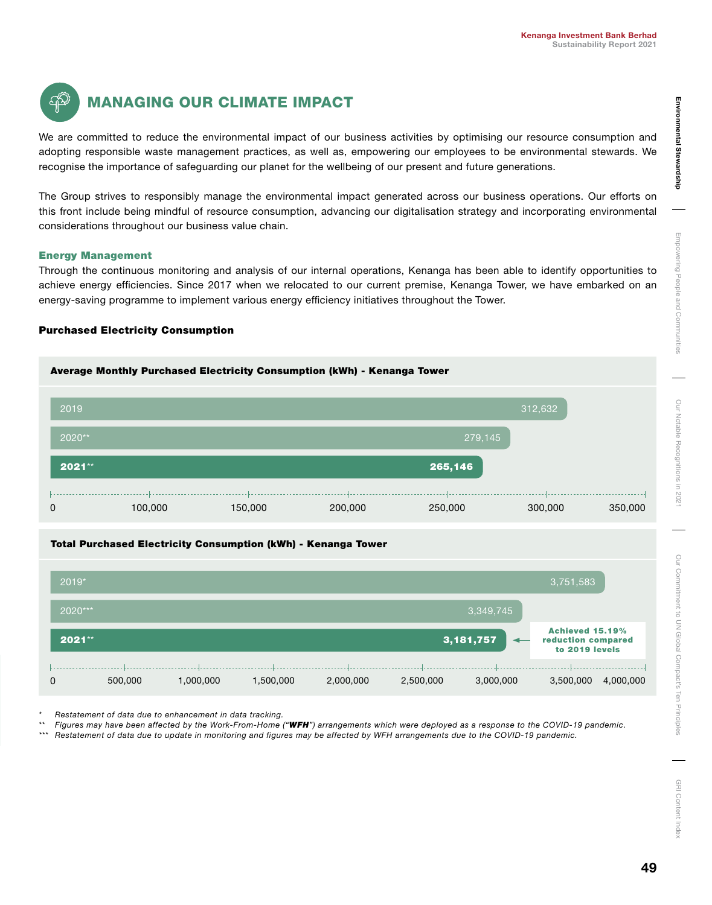

# MANAGING OUR CLIMATE IMPACT

We are committed to reduce the environmental impact of our business activities by optimising our resource consumption and adopting responsible waste management practices, as well as, empowering our employees to be environmental stewards. We recognise the importance of safeguarding our planet for the wellbeing of our present and future generations.

The Group strives to responsibly manage the environmental impact generated across our business operations. Our efforts on this front include being mindful of resource consumption, advancing our digitalisation strategy and incorporating environmental considerations throughout our business value chain.

## Energy Management

Through the continuous monitoring and analysis of our internal operations, Kenanga has been able to identify opportunities to achieve energy efficiencies. Since 2017 when we relocated to our current premise, Kenanga Tower, we have embarked on an energy-saving programme to implement various energy efficiency initiatives throughout the Tower.

## Purchased Electricity Consumption

# Average Monthly Purchased Electricity Consumption (kWh) - Kenanga Tower



## Total Purchased Electricity Consumption (kWh) - Kenanga Tower

| $2019*$ |         |           |           |           |                                         |           | 3,751,583 |                                                                |  |
|---------|---------|-----------|-----------|-----------|-----------------------------------------|-----------|-----------|----------------------------------------------------------------|--|
| 2020*** |         |           |           |           |                                         | 3,349,745 |           |                                                                |  |
| 2021**  |         |           |           |           | 3, 181, 757<br>$\overline{\phantom{0}}$ |           |           | <b>Achieved 15.19%</b><br>reduction compared<br>to 2019 levels |  |
| 0       | 500,000 | 1,000,000 | 1,500,000 | 2,000,000 | 2,500,000                               | 3,000,000 | 3,500,000 | 4,000,000                                                      |  |

*\* Restatement of data due to enhancement in data tracking.*

*\*\* Figures may have been affected by the Work-From-Home ("WFH") arrangements which were deployed as a response to the COVID-19 pandemic.*

*\*\*\* Restatement of data due to update in monitoring and figures may be affected by WFH arrangements due to the COVID-19 pandemic.*

E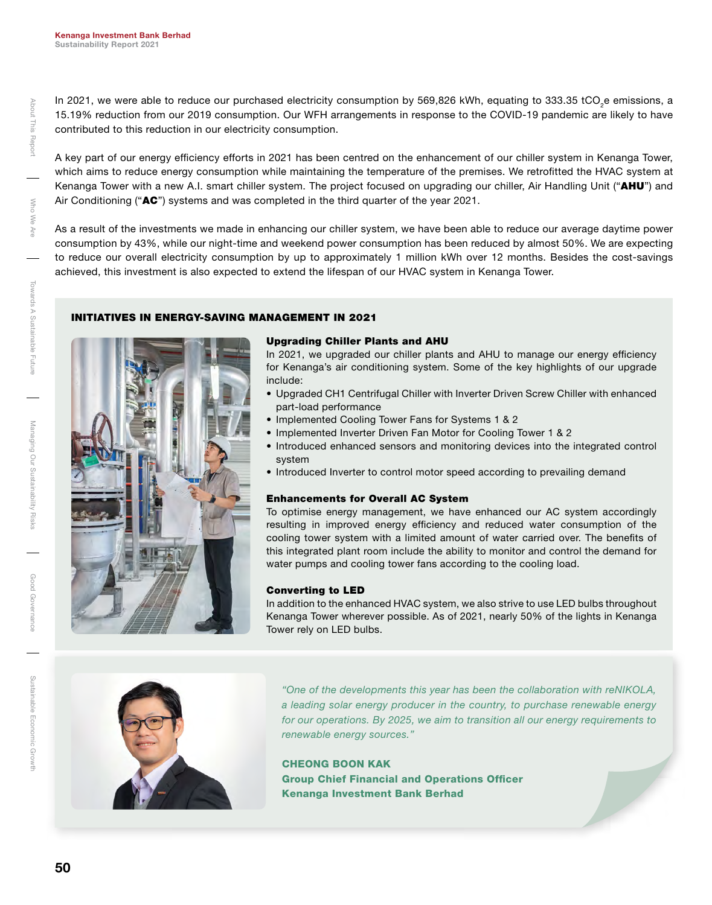In 2021, we were able to reduce our purchased electricity consumption by 569,826 kWh, equating to 333.35 tCO<sub>2</sub>e emissions, a 15.19% reduction from our 2019 consumption. Our WFH arrangements in response to the COVID-19 pandemic are likely to have contributed to this reduction in our electricity consumption.

A key part of our energy efficiency efforts in 2021 has been centred on the enhancement of our chiller system in Kenanga Tower, which aims to reduce energy consumption while maintaining the temperature of the premises. We retrofitted the HVAC system at Kenanga Tower with a new A.I. smart chiller system. The project focused on upgrading our chiller, Air Handling Unit ("AHU") and Air Conditioning (" $AC$ ") systems and was completed in the third quarter of the year 2021.

As a result of the investments we made in enhancing our chiller system, we have been able to reduce our average daytime power consumption by 43%, while our night-time and weekend power consumption has been reduced by almost 50%. We are expecting to reduce our overall electricity consumption by up to approximately 1 million kWh over 12 months. Besides the cost-savings achieved, this investment is also expected to extend the lifespan of our HVAC system in Kenanga Tower.

## INITIATIVES IN ENERGY-SAVING MANAGEMENT IN 2021



#### Upgrading Chiller Plants and AHU

In 2021, we upgraded our chiller plants and AHU to manage our energy efficiency for Kenanga's air conditioning system. Some of the key highlights of our upgrade include:

- Upgraded CH1 Centrifugal Chiller with Inverter Driven Screw Chiller with enhanced part-load performance
- Implemented Cooling Tower Fans for Systems 1 & 2
- Implemented Inverter Driven Fan Motor for Cooling Tower 1 & 2
- Introduced enhanced sensors and monitoring devices into the integrated control system
- Introduced Inverter to control motor speed according to prevailing demand

#### Enhancements for Overall AC System

To optimise energy management, we have enhanced our AC system accordingly resulting in improved energy efficiency and reduced water consumption of the cooling tower system with a limited amount of water carried over. The benefits of this integrated plant room include the ability to monitor and control the demand for water pumps and cooling tower fans according to the cooling load.

#### Converting to LED

In addition to the enhanced HVAC system, we also strive to use LED bulbs throughout Kenanga Tower wherever possible. As of 2021, nearly 50% of the lights in Kenanga Tower rely on LED bulbs.



*"One of the developments this year has been the collaboration with reNIKOLA, a leading solar energy producer in the country, to purchase renewable energy for our operations. By 2025, we aim to transition all our energy requirements to renewable energy sources."* 

#### CHEONG BOON KAK

Group Chief Financial and Operations Officer Kenanga Investment Bank Berhad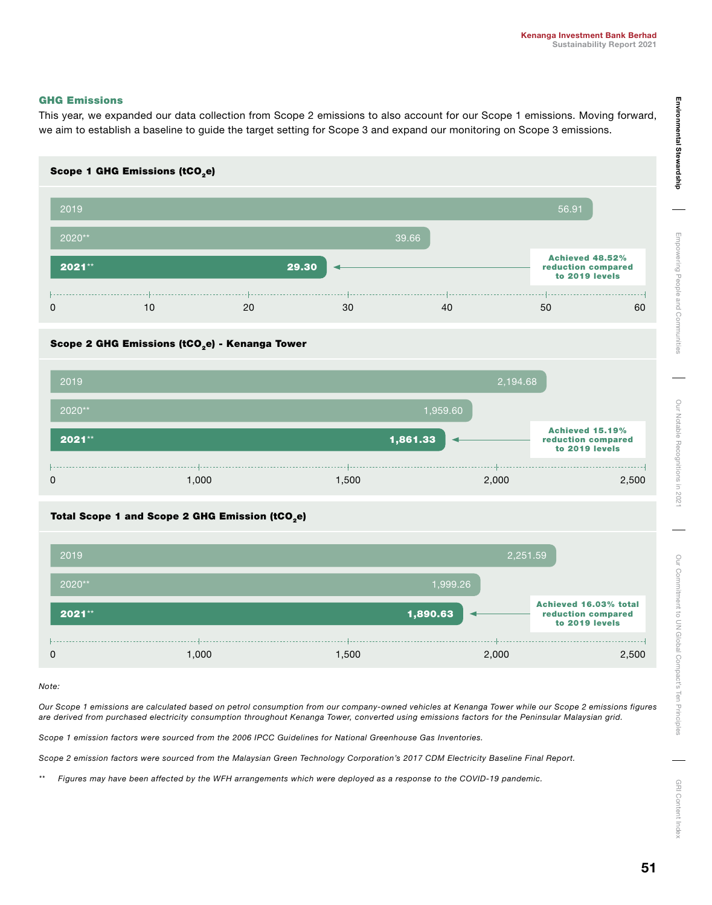#### GHG Emissions

This year, we expanded our data collection from Scope 2 emissions to also account for our Scope 1 emissions. Moving forward, we aim to establish a baseline to guide the target setting for Scope 3 and expand our monitoring on Scope 3 emissions.



## Scope 2 GHG Emissions (tCO<sub>2</sub>e) - Kenanga Tower



## Total Scope 1 and Scope 2 GHG Emission (tCO<sub>2</sub>e)



*Note:* 

*Our Scope 1 emissions are calculated based on petrol consumption from our company-owned vehicles at Kenanga Tower while our Scope 2 emissions figures are derived from purchased electricity consumption throughout Kenanga Tower, converted using emissions factors for the Peninsular Malaysian grid.* 

*Scope 1 emission factors were sourced from the 2006 IPCC Guidelines for National Greenhouse Gas Inventories.*

*Scope 2 emission factors were sourced from the Malaysian Green Technology Corporation's 2017 CDM Electricity Baseline Final Report.*

*\*\* Figures may have been affected by the WFH arrangements which were deployed as a response to the COVID-19 pandemic.*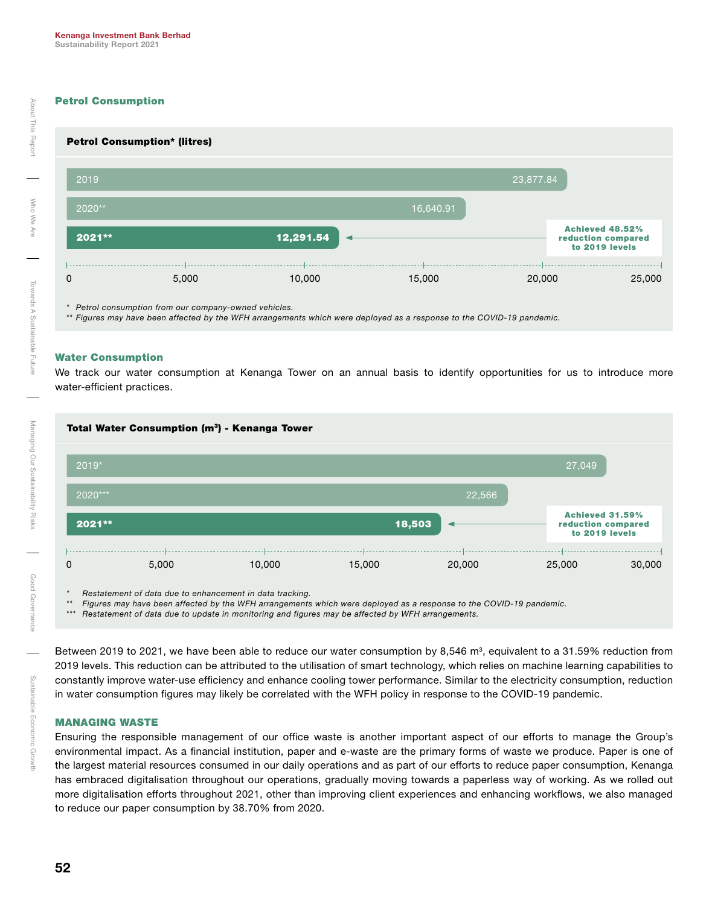## Petrol Consumption



*\*\* Figures may have been affected by the WFH arrangements which were deployed as a response to the COVID-19 pandemic.*

#### Water Consumption

We track our water consumption at Kenanga Tower on an annual basis to identify opportunities for us to introduce more water-efficient practices.



*\* Restatement of data due to enhancement in data tracking.*

*\*\* Figures may have been affected by the WFH arrangements which were deployed as a response to the COVID-19 pandemic.*

*\*\*\* Restatement of data due to update in monitoring and figures may be affected by WFH arrangements.*

Between 2019 to 2021, we have been able to reduce our water consumption by 8,546  $m^3$ , equivalent to a 31.59% reduction from 2019 levels. This reduction can be attributed to the utilisation of smart technology, which relies on machine learning capabilities to constantly improve water-use efficiency and enhance cooling tower performance. Similar to the electricity consumption, reduction in water consumption figures may likely be correlated with the WFH policy in response to the COVID-19 pandemic.

#### MANAGING WASTE

Ensuring the responsible management of our office waste is another important aspect of our efforts to manage the Group's environmental impact. As a financial institution, paper and e-waste are the primary forms of waste we produce. Paper is one of the largest material resources consumed in our daily operations and as part of our efforts to reduce paper consumption, Kenanga has embraced digitalisation throughout our operations, gradually moving towards a paperless way of working. As we rolled out more digitalisation efforts throughout 2021, other than improving client experiences and enhancing workflows, we also managed to reduce our paper consumption by 38.70% from 2020.